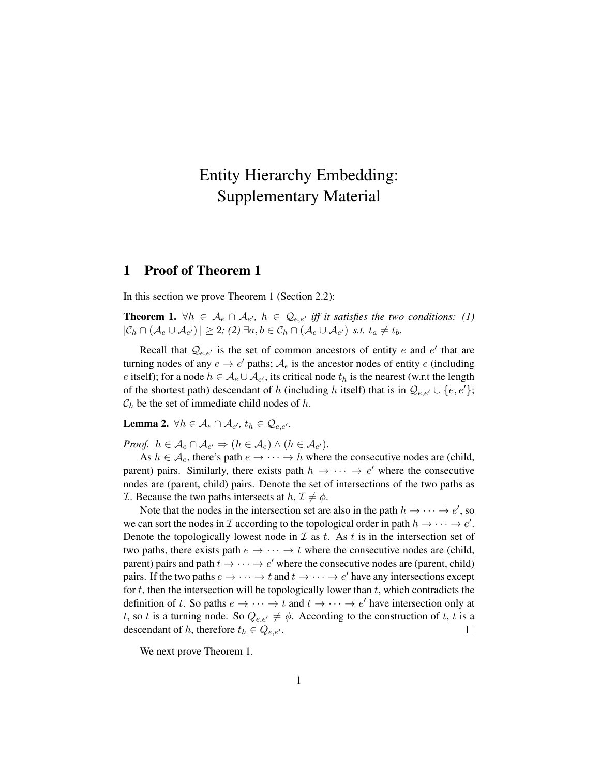## Entity Hierarchy Embedding: Supplementary Material

## 1 Proof of Theorem 1

In this section we prove Theorem 1 (Section 2.2):

**Theorem 1.**  $\forall h \in A_e \cap A_{e'}, h \in \mathcal{Q}_{e,e'}$  iff it satisfies the two conditions: (1)  $|\mathcal{C}_h \cap (\mathcal{A}_e \cup \mathcal{A}_{e'})| \geq 2$ ; (2)  $\exists a, b \in \mathcal{C}_h \cap (\mathcal{A}_e \cup \mathcal{A}_{e'})$  *s.t.*  $t_a \neq t_b$ .

Recall that  $\mathcal{Q}_{e,e'}$  is the set of common ancestors of entity e and e' that are turning nodes of any  $e \to e'$  paths;  $\mathcal{A}_e$  is the ancestor nodes of entity e (including e itself); for a node  $h \in \mathcal{A}_e \cup \mathcal{A}_{e'}$ , its critical node  $t_h$  is the nearest (w.r.t the length of the shortest path) descendant of h (including h itself) that is in  $\mathcal{Q}_{e,e'} \cup \{e,e'\};$  $\mathcal{C}_h$  be the set of immediate child nodes of h.

**Lemma 2.**  $\forall h \in \mathcal{A}_e \cap \mathcal{A}_{e'}, t_h \in \mathcal{Q}_{e,e'}$ .

*Proof.*  $h \in \mathcal{A}_e \cap \mathcal{A}_{e'} \Rightarrow (h \in \mathcal{A}_e) \wedge (h \in \mathcal{A}_{e'}).$ 

As  $h \in \mathcal{A}_e$ , there's path  $e \to \cdots \to h$  where the consecutive nodes are (child, parent) pairs. Similarly, there exists path  $h \rightarrow \cdots \rightarrow e'$  where the consecutive nodes are (parent, child) pairs. Denote the set of intersections of the two paths as *T*. Because the two paths intersects at  $h, \mathcal{I} \neq \phi$ .

Note that the nodes in the intersection set are also in the path  $h \to \cdots \to e'$ , so we can sort the nodes in  $\mathcal I$  according to the topological order in path  $h \to \cdots \to e'$ . Denote the topologically lowest node in  $\mathcal I$  as t. As t is in the intersection set of two paths, there exists path  $e \rightarrow \cdots \rightarrow t$  where the consecutive nodes are (child, parent) pairs and path  $t \to \cdots \to e'$  where the consecutive nodes are (parent, child) pairs. If the two paths  $e \to \cdots \to t$  and  $t \to \cdots \to e'$  have any intersections except for  $t$ , then the intersection will be topologically lower than  $t$ , which contradicts the definition of t. So paths  $e \to \cdots \to t$  and  $t \to \cdots \to e'$  have intersection only at t, so t is a turning node. So  $Q_{e,e'} \neq \phi$ . According to the construction of t, t is a descendant of h, therefore  $t_h \in Q_{e,e'}$ .  $\Box$ 

We next prove Theorem 1.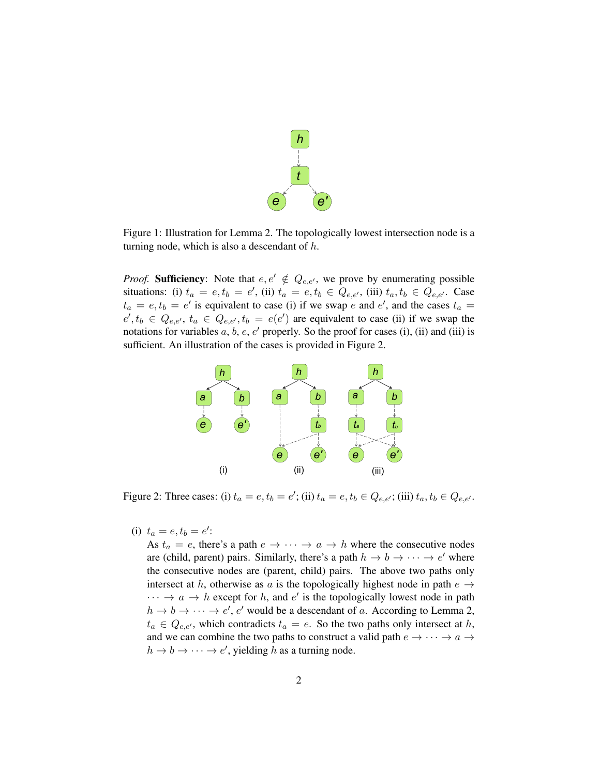

Figure 1: Illustration for Lemma 2. The topologically lowest intersection node is a turning node, which is also a descendant of  $h$ .

*Proof.* **Sufficiency**: Note that  $e, e' \notin Q_{e,e'}$ , we prove by enumerating possible situations: (i)  $t_a = e, t_b = e'$ , (ii)  $t_a = e, t_b \in Q_{e,e'}$ , (iii)  $t_a, t_b \in Q_{e,e'}$ . Case  $t_a = e, t_b = e'$  is equivalent to case (i) if we swap e and e', and the cases  $t_a =$  $e', t_b \in Q_{e,e'}, t_a \in Q_{e,e'}, t_b = e(e')$  are equivalent to case (ii) if we swap the notations for variables  $a, b, e, e'$  properly. So the proof for cases (i), (ii) and (iii) is sufficient. An illustration of the cases is provided in Figure 2.



Figure 2: Three cases: (i)  $t_a = e, t_b = e'$ ; (ii)  $t_a = e, t_b \in Q_{e,e'}$ ; (iii)  $t_a, t_b \in Q_{e,e'}$ .

(i)  $t_a = e, t_b = e'$ :

As  $t_a = e$ , there's a path  $e \rightarrow \cdots \rightarrow a \rightarrow h$  where the consecutive nodes are (child, parent) pairs. Similarly, there's a path  $h \to b \to \cdots \to e'$  where the consecutive nodes are (parent, child) pairs. The above two paths only intersect at h, otherwise as a is the topologically highest node in path  $e \rightarrow$  $\cdots \rightarrow a \rightarrow h$  except for h, and e' is the topologically lowest node in path  $h \to b \to \cdots \to e', e'$  would be a descendant of a. According to Lemma 2,  $t_a \in Q_{e,e'}$ , which contradicts  $t_a = e$ . So the two paths only intersect at h, and we can combine the two paths to construct a valid path  $e \rightarrow \cdots \rightarrow a \rightarrow$  $h \to b \to \cdots \to e'$ , yielding h as a turning node.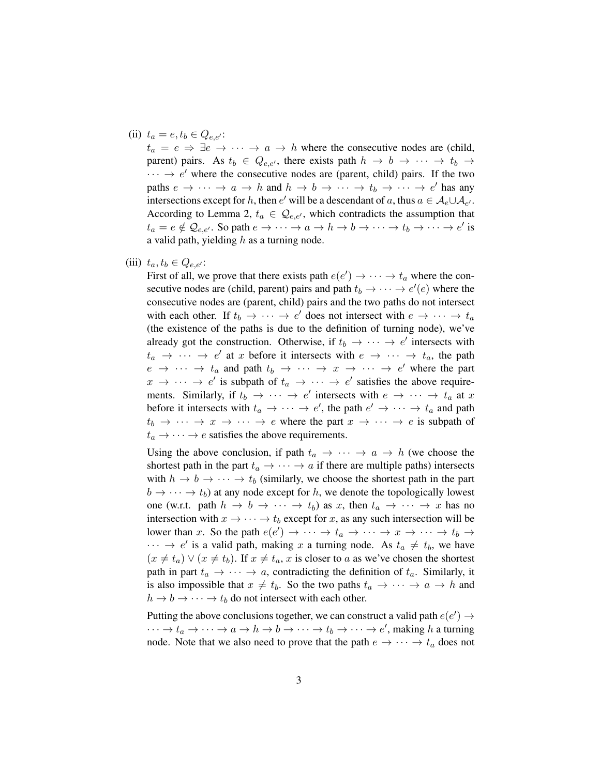## (ii)  $t_a = e, t_b \in Q_{e,e'}$ :

 $t_a = e \Rightarrow \exists e \rightarrow \cdots \rightarrow a \rightarrow h$  where the consecutive nodes are (child, parent) pairs. As  $t_b \in Q_{e,e'}$ , there exists path  $h \to b \to \cdots \to t_b \to$  $\cdots \rightarrow e'$  where the consecutive nodes are (parent, child) pairs. If the two paths  $e \to \cdots \to a \to h$  and  $h \to b \to \cdots \to t_b \to \cdots \to e'$  has any intersections except for h, then  $e'$  will be a descendant of a, thus  $a \in \mathcal{A}_e \cup \mathcal{A}_{e'}$ . According to Lemma 2,  $t_a \in \mathcal{Q}_{e,e'}$ , which contradicts the assumption that  $t_a = e \notin \mathcal{Q}_{e,e'}$ . So path  $e \to \cdots \to a \to h \to b \to \cdots \to t_b \to \cdots \to e'$  is a valid path, yielding  $h$  as a turning node.

(iii)  $t_a, t_b \in Q_{e,e'}$ :

First of all, we prove that there exists path  $e(e') \rightarrow \cdots \rightarrow t_a$  where the consecutive nodes are (child, parent) pairs and path  $t_b \to \cdots \to e'(e)$  where the consecutive nodes are (parent, child) pairs and the two paths do not intersect with each other. If  $t_b \to \cdots \to e'$  does not intersect with  $e \to \cdots \to t_a$ (the existence of the paths is due to the definition of turning node), we've already got the construction. Otherwise, if  $t_b \rightarrow \cdots \rightarrow e'$  intersects with  $t_a \rightarrow \cdots \rightarrow e'$  at x before it intersects with  $e \rightarrow \cdots \rightarrow t_a$ , the path  $e \rightarrow \cdots \rightarrow t_a$  and path  $t_b \rightarrow \cdots \rightarrow x \rightarrow \cdots \rightarrow e'$  where the part  $x \to \cdots \to e'$  is subpath of  $t_a \to \cdots \to e'$  satisfies the above requirements. Similarly, if  $t_b \to \cdots \to e'$  intersects with  $e \to \cdots \to t_a$  at x before it intersects with  $t_a \rightarrow \cdots \rightarrow e'$ , the path  $e' \rightarrow \cdots \rightarrow t_a$  and path  $t_b \rightarrow \cdots \rightarrow x \rightarrow \cdots \rightarrow e$  where the part  $x \rightarrow \cdots \rightarrow e$  is subpath of  $t_a \rightarrow \cdots \rightarrow e$  satisfies the above requirements.

Using the above conclusion, if path  $t_a \rightarrow \cdots \rightarrow a \rightarrow h$  (we choose the shortest path in the part  $t_a \rightarrow \cdots \rightarrow a$  if there are multiple paths) intersects with  $h \to b \to \cdots \to t_b$  (similarly, we choose the shortest path in the part  $b \rightarrow \cdots \rightarrow t_b$ ) at any node except for h, we denote the topologically lowest one (w.r.t. path  $h \to b \to \cdots \to t_b$ ) as x, then  $t_a \to \cdots \to x$  has no intersection with  $x \to \cdots \to t_b$  except for x, as any such intersection will be lower than x. So the path  $e(e') \to \cdots \to t_a \to \cdots \to x \to \cdots \to t_b \to$  $\cdots \rightarrow e'$  is a valid path, making x a turning node. As  $t_a \neq t_b$ , we have  $(x \neq t_a) \vee (x \neq t_b)$ . If  $x \neq t_a$ , x is closer to a as we've chosen the shortest path in part  $t_a \rightarrow \cdots \rightarrow a$ , contradicting the definition of  $t_a$ . Similarly, it is also impossible that  $x \neq t_b$ . So the two paths  $t_a \rightarrow \cdots \rightarrow a \rightarrow h$  and  $h \to b \to \cdots \to t_b$  do not intersect with each other.

Putting the above conclusions together, we can construct a valid path  $e(e') \rightarrow$  $\cdots \to t_a \to \cdots \to a \to h \to b \to \cdots \to t_b \to \cdots \to e'$ , making h a turning node. Note that we also need to prove that the path  $e \rightarrow \cdots \rightarrow t_a$  does not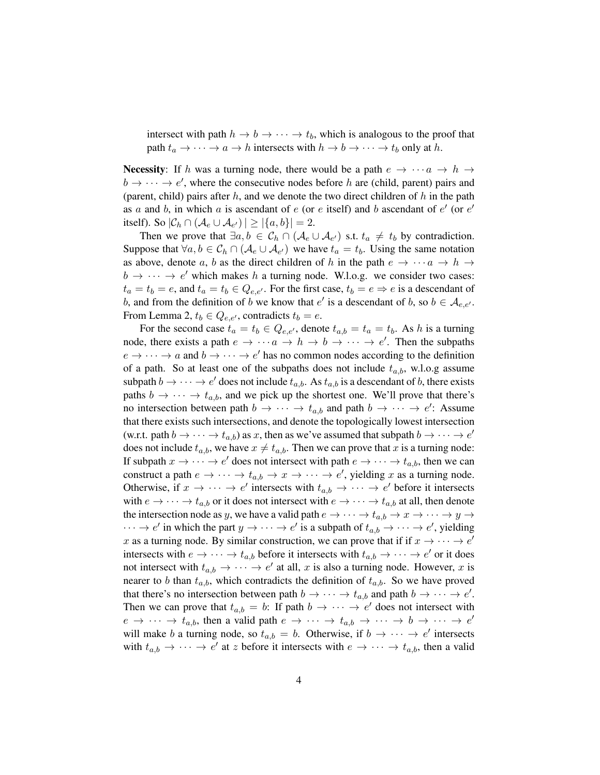intersect with path  $h \to b \to \cdots \to t_b$ , which is analogous to the proof that path  $t_a \rightarrow \cdots \rightarrow a \rightarrow h$  intersects with  $h \rightarrow b \rightarrow \cdots \rightarrow t_b$  only at h.

**Necessity:** If h was a turning node, there would be a path  $e \rightarrow \cdots a \rightarrow h \rightarrow$  $b \rightarrow \cdots \rightarrow e'$ , where the consecutive nodes before h are (child, parent) pairs and (parent, child) pairs after  $h$ , and we denote the two direct children of  $h$  in the path as a and b, in which a is ascendant of  $e$  (or  $e$  itself) and b ascendant of  $e'$  (or  $e'$ itself). So  $|\mathcal{C}_h \cap (\mathcal{A}_e \cup \mathcal{A}_{e'})| \geq |\{a,b\}| = 2$ .

Then we prove that  $\exists a, b \in C_h \cap (A_e \cup A_{e'})$  s.t.  $t_a \neq t_b$  by contradiction. Suppose that  $\forall a, b \in C_h \cap (A_e \cup A_{e'})$  we have  $t_a = t_b$ . Using the same notation as above, denote a, b as the direct children of h in the path  $e \rightarrow \cdots a \rightarrow h \rightarrow$  $b \rightarrow \cdots \rightarrow e'$  which makes h a turning node. W.l.o.g. we consider two cases:  $t_a = t_b = e$ , and  $t_a = t_b \in Q_{e,e'}$ . For the first case,  $t_b = e \Rightarrow e$  is a descendant of b, and from the definition of b we know that  $e'$  is a descendant of b, so  $b \in \mathcal{A}_{e,e'}$ . From Lemma 2,  $t_b \in Q_{e,e'}$ , contradicts  $t_b = e$ .

For the second case  $t_a = t_b \in Q_{e,e'}$ , denote  $t_{a,b} = t_a = t_b$ . As h is a turning node, there exists a path  $e \to \cdots a \to h \to b \to \cdots \to e'$ . Then the subpaths  $e \rightarrow \cdots \rightarrow a$  and  $b \rightarrow \cdots \rightarrow e'$  has no common nodes according to the definition of a path. So at least one of the subpaths does not include  $t_{a,b}$ , w.l.o.g assume subpath  $b \to \cdots \to e'$  does not include  $t_{a,b}$ . As  $t_{a,b}$  is a descendant of b, there exists paths  $b \to \cdots \to t_{a,b}$ , and we pick up the shortest one. We'll prove that there's no intersection between path  $b \to \cdots \to t_{a,b}$  and path  $b \to \cdots \to e'$ : Assume that there exists such intersections, and denote the topologically lowest intersection (w.r.t. path  $b \to \cdots \to t_{a,b}$ ) as x, then as we've assumed that subpath  $b \to \cdots \to e^t$ does not include  $t_{a,b}$ , we have  $x \neq t_{a,b}$ . Then we can prove that x is a turning node: If subpath  $x \to \cdots \to e'$  does not intersect with path  $e \to \cdots \to t_{a,b}$ , then we can construct a path  $e \to \cdots \to t_{a,b} \to x \to \cdots \to e'$ , yielding x as a turning node. Otherwise, if  $x \to \cdots \to e'$  intersects with  $t_{a,b} \to \cdots \to e'$  before it intersects with  $e \to \cdots \to t_{a,b}$  or it does not intersect with  $e \to \cdots \to t_{a,b}$  at all, then denote the intersection node as y, we have a valid path  $e \to \cdots \to t_{a,b} \to x \to \cdots \to y \to$  $\cdots \rightarrow e'$  in which the part  $y \rightarrow \cdots \rightarrow e'$  is a subpath of  $t_{a,b} \rightarrow \cdots \rightarrow e'$ , yielding x as a turning node. By similar construction, we can prove that if if  $x \to \cdots \to e^t$ intersects with  $e \to \cdots \to t_{a,b}$  before it intersects with  $t_{a,b} \to \cdots \to e'$  or it does not intersect with  $t_{a,b} \to \cdots \to e'$  at all, x is also a turning node. However, x is nearer to b than  $t_{a,b}$ , which contradicts the definition of  $t_{a,b}$ . So we have proved that there's no intersection between path  $b \to \cdots \to t_{a,b}$  and path  $b \to \cdots \to e'$ . Then we can prove that  $t_{a,b} = b$ : If path  $b \rightarrow \cdots \rightarrow e'$  does not intersect with  $e \rightarrow \cdots \rightarrow t_{a,b}$ , then a valid path  $e \rightarrow \cdots \rightarrow t_{a,b} \rightarrow \cdots \rightarrow b \rightarrow \cdots \rightarrow e'$ will make b a turning node, so  $t_{a,b} = b$ . Otherwise, if  $b \rightarrow \cdots \rightarrow e'$  intersects with  $t_{a,b} \to \cdots \to e'$  at z before it intersects with  $e \to \cdots \to t_{a,b}$ , then a valid